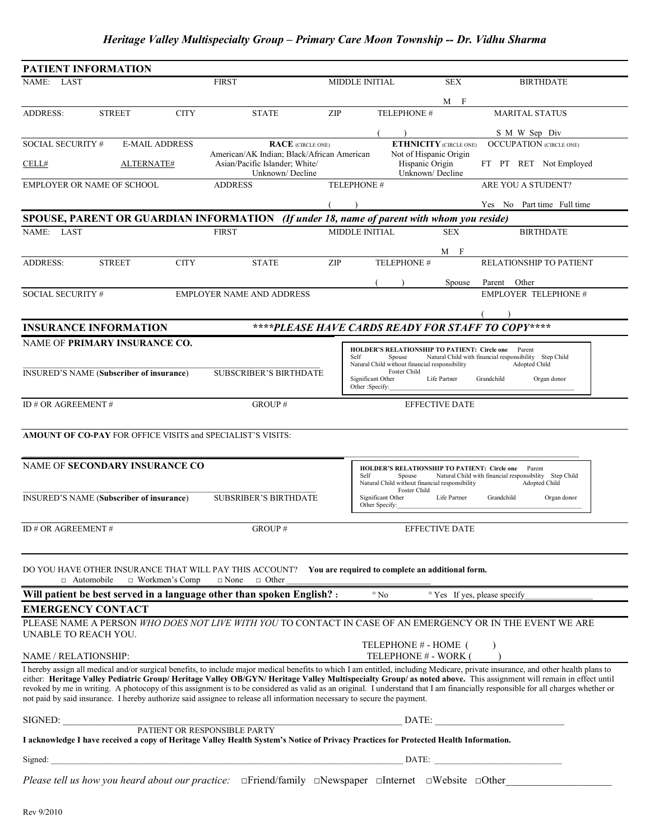# *Heritage Valley Multispecialty Group – Primary Care Moon Township -- Dr. Vidhu Sharma*

| <b>PATIENT INFORMATION</b>                                                                                                                                                               |                       |                                                                                                                                    |                                                                                                                                         |                                                                                                                                                                                        |                               |                                                                                                                                                                                                                                                                                                                                                                                                                                                                                                                                         |
|------------------------------------------------------------------------------------------------------------------------------------------------------------------------------------------|-----------------------|------------------------------------------------------------------------------------------------------------------------------------|-----------------------------------------------------------------------------------------------------------------------------------------|----------------------------------------------------------------------------------------------------------------------------------------------------------------------------------------|-------------------------------|-----------------------------------------------------------------------------------------------------------------------------------------------------------------------------------------------------------------------------------------------------------------------------------------------------------------------------------------------------------------------------------------------------------------------------------------------------------------------------------------------------------------------------------------|
| NAME: LAST                                                                                                                                                                               |                       | <b>FIRST</b>                                                                                                                       |                                                                                                                                         | <b>MIDDLE INITIAL</b>                                                                                                                                                                  | <b>SEX</b>                    | <b>BIRTHDATE</b>                                                                                                                                                                                                                                                                                                                                                                                                                                                                                                                        |
| <b>STREET</b><br><b>ADDRESS:</b>                                                                                                                                                         | <b>CITY</b>           | <b>STATE</b>                                                                                                                       | ZIP                                                                                                                                     | <b>TELEPHONE#</b>                                                                                                                                                                      | $M$ F                         | <b>MARITAL STATUS</b>                                                                                                                                                                                                                                                                                                                                                                                                                                                                                                                   |
| SOCIAL SECURITY #                                                                                                                                                                        | <b>E-MAIL ADDRESS</b> | <b>RACE</b> (CIRCLE ONE)                                                                                                           |                                                                                                                                         |                                                                                                                                                                                        | <b>ETHNICITY</b> (CIRCLE ONE) | S M W Sep Div<br><b>OCCUPATION</b> (CIRCLE ONE)                                                                                                                                                                                                                                                                                                                                                                                                                                                                                         |
| CELL#                                                                                                                                                                                    | ALTERNATE#            | American/AK Indian; Black/African American<br>Asian/Pacific Islander; White/<br>Unknown/Decline                                    |                                                                                                                                         | Not of Hispanic Origin<br>Hispanic Origin<br>Unknown/Decline                                                                                                                           |                               | FT PT RET Not Employed                                                                                                                                                                                                                                                                                                                                                                                                                                                                                                                  |
| EMPLOYER OR NAME OF SCHOOL                                                                                                                                                               |                       | <b>ADDRESS</b>                                                                                                                     |                                                                                                                                         | TELEPHONE#                                                                                                                                                                             |                               | ARE YOU A STUDENT?                                                                                                                                                                                                                                                                                                                                                                                                                                                                                                                      |
|                                                                                                                                                                                          |                       |                                                                                                                                    |                                                                                                                                         |                                                                                                                                                                                        |                               | Yes No Part time Full time                                                                                                                                                                                                                                                                                                                                                                                                                                                                                                              |
| SPOUSE, PARENT OR GUARDIAN INFORMATION (If under 18, name of parent with whom you reside)<br><b>MIDDLE INITIAL</b>                                                                       |                       |                                                                                                                                    |                                                                                                                                         |                                                                                                                                                                                        |                               |                                                                                                                                                                                                                                                                                                                                                                                                                                                                                                                                         |
| NAME: LAST                                                                                                                                                                               |                       | <b>FIRST</b>                                                                                                                       |                                                                                                                                         |                                                                                                                                                                                        | <b>SEX</b><br>M F             | <b>BIRTHDATE</b>                                                                                                                                                                                                                                                                                                                                                                                                                                                                                                                        |
| <b>ADDRESS:</b><br><b>STREET</b>                                                                                                                                                         | <b>CITY</b>           | <b>STATE</b>                                                                                                                       | ZIP                                                                                                                                     | TELEPHONE #                                                                                                                                                                            |                               | RELATIONSHIP TO PATIENT                                                                                                                                                                                                                                                                                                                                                                                                                                                                                                                 |
| SOCIAL SECURITY #                                                                                                                                                                        |                       | <b>EMPLOYER NAME AND ADDRESS</b>                                                                                                   |                                                                                                                                         |                                                                                                                                                                                        | Spouse                        | Parent<br>Other<br><b>EMPLOYER TELEPHONE #</b>                                                                                                                                                                                                                                                                                                                                                                                                                                                                                          |
|                                                                                                                                                                                          |                       |                                                                                                                                    |                                                                                                                                         |                                                                                                                                                                                        |                               |                                                                                                                                                                                                                                                                                                                                                                                                                                                                                                                                         |
| ****PLEASE HAVE CARDS READY FOR STAFF TO COPY****<br><b>INSURANCE INFORMATION</b>                                                                                                        |                       |                                                                                                                                    |                                                                                                                                         |                                                                                                                                                                                        |                               |                                                                                                                                                                                                                                                                                                                                                                                                                                                                                                                                         |
| NAME OF PRIMARY INSURANCE CO.<br><b>INSURED'S NAME (Subscriber of insurance)</b>                                                                                                         |                       | <b>SUBSCRIBER'S BIRTHDATE</b>                                                                                                      |                                                                                                                                         | <b>HOLDER'S RELATIONSHIP TO PATIENT: Circle one</b> Parent<br>Self<br>Spouse<br>Natural Child without financial responsibility<br>Foster Child<br>Significant Other<br>Other :Specify: | Life Partner                  | Natural Child with financial responsibility Step Child<br>Adopted Child<br>Grandchild<br>Organ donor                                                                                                                                                                                                                                                                                                                                                                                                                                    |
| ID# OR AGREEMENT#                                                                                                                                                                        |                       | GROUP#                                                                                                                             |                                                                                                                                         |                                                                                                                                                                                        | <b>EFFECTIVE DATE</b>         |                                                                                                                                                                                                                                                                                                                                                                                                                                                                                                                                         |
| <b>AMOUNT OF CO-PAY FOR OFFICE VISITS and SPECIALIST'S VISITS:</b>                                                                                                                       |                       |                                                                                                                                    |                                                                                                                                         |                                                                                                                                                                                        |                               |                                                                                                                                                                                                                                                                                                                                                                                                                                                                                                                                         |
|                                                                                                                                                                                          |                       |                                                                                                                                    |                                                                                                                                         |                                                                                                                                                                                        |                               |                                                                                                                                                                                                                                                                                                                                                                                                                                                                                                                                         |
| <b>NAME OF SECONDARY INSURANCE CO</b>                                                                                                                                                    |                       |                                                                                                                                    | <b>HOLDER'S RELATIONSHIP TO PATIENT: Circle one</b><br>Spouse<br>Self<br>Natural Child without financial responsibility<br>Foster Child |                                                                                                                                                                                        |                               | Parent<br>Natural Child with financial responsibility Step Child<br>Adopted Child                                                                                                                                                                                                                                                                                                                                                                                                                                                       |
| <b>INSURED'S NAME (Subscriber of insurance)</b>                                                                                                                                          |                       | <b>SUBSRIBER'S BIRTHDATE</b>                                                                                                       |                                                                                                                                         | Significant Other<br>Other Specify:                                                                                                                                                    | Life Partner                  | Grandchild<br>Organ donor                                                                                                                                                                                                                                                                                                                                                                                                                                                                                                               |
| ID# OR AGREEMENT#                                                                                                                                                                        |                       | GROUP#                                                                                                                             |                                                                                                                                         |                                                                                                                                                                                        | <b>EFFECTIVE DATE</b>         |                                                                                                                                                                                                                                                                                                                                                                                                                                                                                                                                         |
| DO YOU HAVE OTHER INSURANCE THAT WILL PAY THIS ACCOUNT? You are required to complete an additional form.<br>$\Box$ Workmen's Comp<br>$\square$ None<br>$\Box$ Other<br>$\Box$ Automobile |                       |                                                                                                                                    |                                                                                                                                         |                                                                                                                                                                                        |                               |                                                                                                                                                                                                                                                                                                                                                                                                                                                                                                                                         |
|                                                                                                                                                                                          |                       | Will patient be best served in a language other than spoken English? :                                                             |                                                                                                                                         | $^{\circ}$ No                                                                                                                                                                          |                               | <sup>o</sup> Yes If yes, please specify                                                                                                                                                                                                                                                                                                                                                                                                                                                                                                 |
| <b>EMERGENCY CONTACT</b>                                                                                                                                                                 |                       |                                                                                                                                    |                                                                                                                                         |                                                                                                                                                                                        |                               |                                                                                                                                                                                                                                                                                                                                                                                                                                                                                                                                         |
| UNABLE TO REACH YOU.                                                                                                                                                                     |                       | PLEASE NAME A PERSON WHO DOES NOT LIVE WITH YOU TO CONTACT IN CASE OF AN EMERGENCY OR IN THE EVENT WE ARE                          |                                                                                                                                         |                                                                                                                                                                                        |                               | $\lambda$                                                                                                                                                                                                                                                                                                                                                                                                                                                                                                                               |
| NAME / RELATIONSHIP:                                                                                                                                                                     |                       |                                                                                                                                    |                                                                                                                                         | TELEPHONE # - HOME (<br>TELEPHONE # - WORK (                                                                                                                                           |                               |                                                                                                                                                                                                                                                                                                                                                                                                                                                                                                                                         |
|                                                                                                                                                                                          |                       | not paid by said insurance. I hereby authorize said assignee to release all information necessary to secure the payment.           |                                                                                                                                         |                                                                                                                                                                                        |                               | I hereby assign all medical and/or surgical benefits, to include major medical benefits to which I am entitled, including Medicare, private insurance, and other health plans to<br>either: Heritage Valley Pediatric Group/Heritage Valley OB/GYN/Heritage Valley Multispecialty Group/ as noted above. This assignment will remain in effect until<br>revoked by me in writing. A photocopy of this assignment is to be considered as valid as an original. I understand that I am financially responsible for all charges whether or |
|                                                                                                                                                                                          |                       |                                                                                                                                    |                                                                                                                                         |                                                                                                                                                                                        |                               |                                                                                                                                                                                                                                                                                                                                                                                                                                                                                                                                         |
| I acknowledge I have received a copy of Heritage Valley Health System's Notice of Privacy Practices for Protected Health Information.                                                    |                       |                                                                                                                                    |                                                                                                                                         |                                                                                                                                                                                        |                               |                                                                                                                                                                                                                                                                                                                                                                                                                                                                                                                                         |
|                                                                                                                                                                                          |                       |                                                                                                                                    |                                                                                                                                         |                                                                                                                                                                                        |                               |                                                                                                                                                                                                                                                                                                                                                                                                                                                                                                                                         |
|                                                                                                                                                                                          |                       | Please tell us how you heard about our practice: $\Box$ Friend/family $\Box$ Newspaper $\Box$ Internet $\Box$ Website $\Box$ Other |                                                                                                                                         |                                                                                                                                                                                        |                               |                                                                                                                                                                                                                                                                                                                                                                                                                                                                                                                                         |